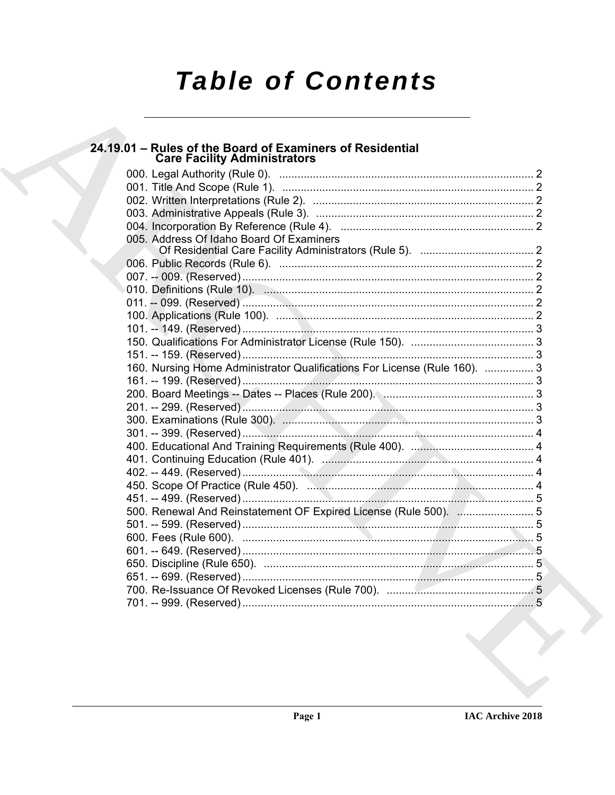# **Table of Contents**

# 24.19.01 - Rules of the Board of Examiners of Residential<br>Care Facility Administrators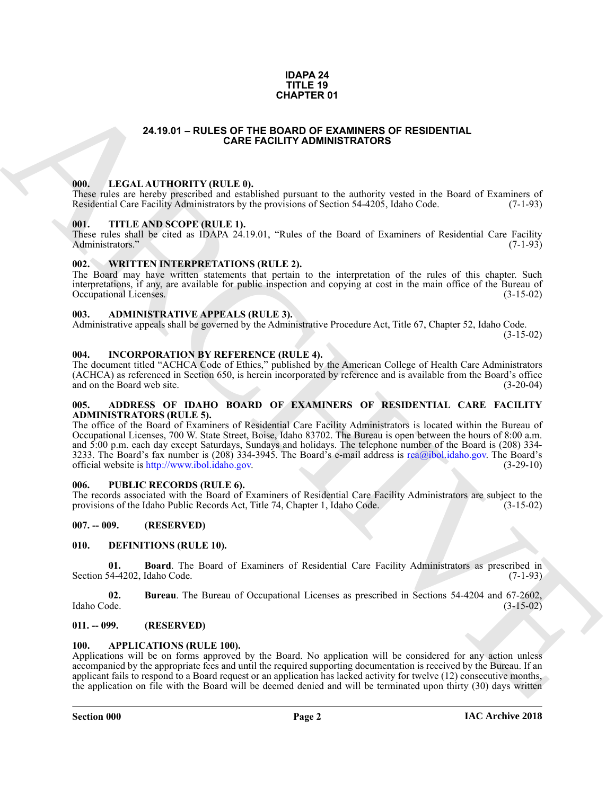### **IDAPA 24 TITLE 19 CHAPTER 01**

# **24.19.01 – RULES OF THE BOARD OF EXAMINERS OF RESIDENTIAL CARE FACILITY ADMINISTRATORS**

### <span id="page-1-19"></span><span id="page-1-1"></span><span id="page-1-0"></span>**000. LEGAL AUTHORITY (RULE 0).**

These rules are hereby prescribed and established pursuant to the authority vested in the Board of Examiners of Residential Care Facility Administrators by the provisions of Section 54-4205, Idaho Code. (7-1-93)

### <span id="page-1-21"></span><span id="page-1-2"></span>**001. TITLE AND SCOPE (RULE 1).**

These rules shall be cited as IDAPA 24.19.01, "Rules of the Board of Examiners of Residential Care Facility Administrators." (7-1-93) Administrators."

### <span id="page-1-22"></span><span id="page-1-3"></span>**002. WRITTEN INTERPRETATIONS (RULE 2).**

The Board may have written statements that pertain to the interpretation of the rules of this chapter. Such interpretations, if any, are available for public inspection and copying at cost in the main office of the Bureau of Occupational Licenses. (3-15-02)

### <span id="page-1-13"></span><span id="page-1-4"></span>**003. ADMINISTRATIVE APPEALS (RULE 3).**

Administrative appeals shall be governed by the Administrative Procedure Act, Title 67, Chapter 52, Idaho Code.

(3-15-02)

### <span id="page-1-18"></span><span id="page-1-5"></span>**004. INCORPORATION BY REFERENCE (RULE 4).**

The document titled "ACHCA Code of Ethics," published by the American College of Health Care Administrators (ACHCA) as referenced in Section 650, is herein incorporated by reference and is available from the Board's office and on the Board web site. (3-20-04)

### <span id="page-1-12"></span><span id="page-1-6"></span>**005. ADDRESS OF IDAHO BOARD OF EXAMINERS OF RESIDENTIAL CARE FACILITY ADMINISTRATORS (RULE 5).**

**24.1801 - RULES OF THE ECONOMIC RESO COMMISSION CONTRACT CONTRACT (ACCORDINATE)**<br>
ARC[HI](mailto:rca@ibol.idaho.gov)VEST CONTRACT CONTRACT (ACCORDINATEST)<br>
ARCHIVEST CONTRACT CONTRACT CONTRACT CONTRACT CONTRACT (ACCORDINATEST)<br>
ARCHIVEST CONTRACT CO The office of the Board of Examiners of Residential Care Facility Administrators is located within the Bureau of Occupational Licenses, 700 W. State Street, Boise, Idaho 83702. The Bureau is open between the hours of 8:00 a.m. and 5:00 p.m. each day except Saturdays, Sundays and holidays. The telephone number of the Board is (208) 334- 3233. The Board's fax number is (208) 334-3945. The Board's e-mail address is rca@ibol.idaho.gov. The Board's official website is http://www.ibol.idaho.gov. (3-29-10)

# <span id="page-1-20"></span><span id="page-1-7"></span>**006. PUBLIC RECORDS (RULE 6).**

The records associated with the Board of Examiners of Residential Care Facility Administrators are subject to the provisions of the Idaho Public Records Act, Title 74, Chapter 1, Idaho Code. (3-15-02)

# <span id="page-1-8"></span>**007. -- 009. (RESERVED)**

### <span id="page-1-15"></span><span id="page-1-9"></span>**010. DEFINITIONS (RULE 10).**

<span id="page-1-16"></span>**01. Board**. The Board of Examiners of Residential Care Facility Administrators as prescribed in Section 54-4202, Idaho Code.

<span id="page-1-17"></span>**02.** Bureau. The Bureau of Occupational Licenses as prescribed in Sections 54-4204 and 67-2602, Idaho Code. (3-15-02) Idaho Code. (3-15-02)

# <span id="page-1-10"></span>**011. -- 099. (RESERVED)**

### <span id="page-1-14"></span><span id="page-1-11"></span>**100. APPLICATIONS (RULE 100).**

Applications will be on forms approved by the Board. No application will be considered for any action unless accompanied by the appropriate fees and until the required supporting documentation is received by the Bureau. If an applicant fails to respond to a Board request or an application has lacked activity for twelve (12) consecutive months, the application on file with the Board will be deemed denied and will be terminated upon thirty (30) days written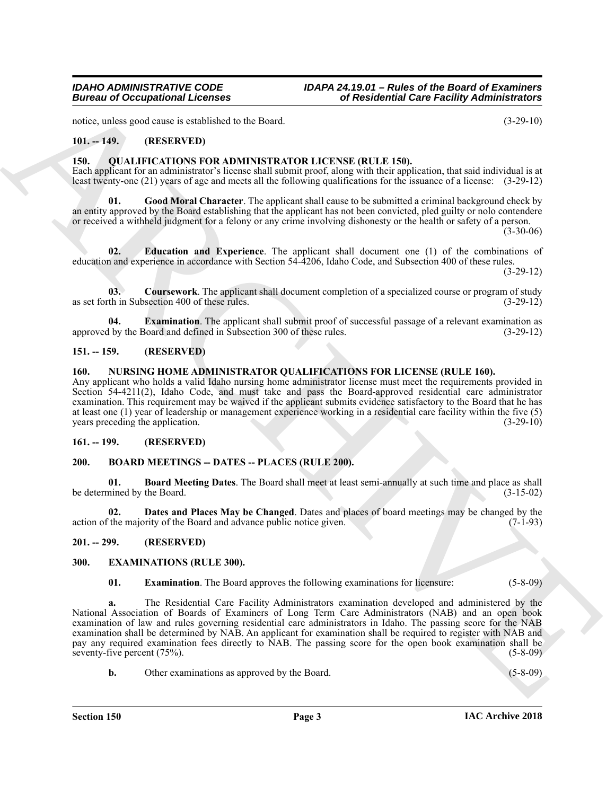notice, unless good cause is established to the Board. (3-29-10)

# <span id="page-2-0"></span>**101. -- 149. (RESERVED)**

### <span id="page-2-13"></span><span id="page-2-1"></span>**150. QUALIFICATIONS FOR ADMINISTRATOR LICENSE (RULE 150).**

Each applicant for an administrator's license shall submit proof, along with their application, that said individual is at least twenty-one (21) years of age and meets all the following qualifications for the issuance of a license: (3-29-12)

<span id="page-2-17"></span>**01. Good Moral Character**. The applicant shall cause to be submitted a criminal background check by an entity approved by the Board establishing that the applicant has not been convicted, pled guilty or nolo contendere or received a withheld judgment for a felony or any crime involving dishonesty or the health or safety of a person.

 $(3-30-06)$ 

<span id="page-2-15"></span>**02. Education and Experience**. The applicant shall document one (1) of the combinations of education and experience in accordance with Section 54-4206, Idaho Code, and Subsection 400 of these rules.

(3-29-12)

<span id="page-2-14"></span>**03. Coursework**. The applicant shall document completion of a specialized course or program of study as set forth in Subsection 400 of these rules. (3-29-12)

<span id="page-2-16"></span>**04. Examination**. The applicant shall submit proof of successful passage of a relevant examination as 1 by the Board and defined in Subsection 300 of these rules. (3-29-12) approved by the Board and defined in Subsection 300 of these rules.

# <span id="page-2-2"></span>**151. -- 159. (RESERVED)**

# <span id="page-2-12"></span><span id="page-2-3"></span>**160. NURSING HOME ADMINISTRATOR QUALIFICATIONS FOR LICENSE (RULE 160).**

Any applicant who holds a valid Idaho nursing home administrator license must meet the requirements provided in Section 54-4211(2), Idaho Code, and must take and pass the Board-approved residential care administrator examination. This requirement may be waived if the applicant submits evidence satisfactory to the Board that he has at least one (1) year of leadership or management experience working in a residential care facility within the five (5) years preceding the application.

# <span id="page-2-4"></span>**161. -- 199. (RESERVED)**

### <span id="page-2-8"></span><span id="page-2-5"></span>**200. BOARD MEETINGS -- DATES -- PLACES (RULE 200).**

<span id="page-2-9"></span>**01. Board Meeting Dates**. The Board shall meet at least semi-annually at such time and place as shall be determined by the Board. (3-15-02)

<span id="page-2-10"></span>**02. Dates and Places May be Changed**. Dates and places of board meetings may be changed by the action of the majority of the Board and advance public notice given. (7-1-93)

### <span id="page-2-6"></span>**201. -- 299. (RESERVED)**

# <span id="page-2-7"></span>**300. EXAMINATIONS (RULE 300).**

<span id="page-2-11"></span>**01. Examination**. The Board approves the following examinations for licensure: (5-8-09)

Europa of Occupational Leonies<br>
16 Residential Gase Facility Administration<br>
16. Control of the State Collision Computer and the State Collision Control of the State Collision Control of the State Collision Collision Coll **a.** The Residential Care Facility Administrators examination developed and administered by the National Association of Boards of Examiners of Long Term Care Administrators (NAB) and an open book examination of law and rules governing residential care administrators in Idaho. The passing score for the NAB examination shall be determined by NAB. An applicant for examination shall be required to register with NAB and pay any required examination fees directly to NAB. The passing score for the open book examination shall be seventy-five percent (75%). (5-8-09)

**b.** Other examinations as approved by the Board. (5-8-09)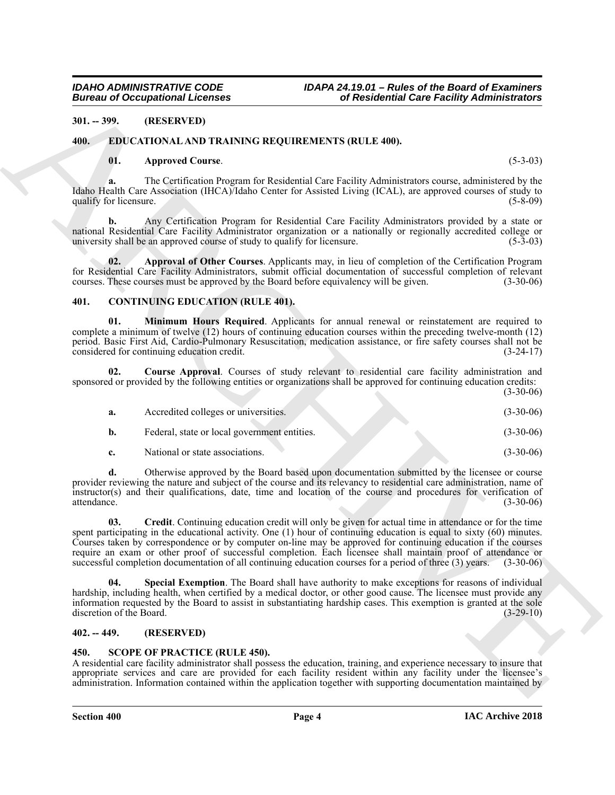# <span id="page-3-0"></span>**301. -- 399. (RESERVED)**

# <span id="page-3-1"></span>**400. EDUCATIONAL AND TRAINING REQUIREMENTS (RULE 400).**

# <span id="page-3-12"></span><span id="page-3-10"></span>**01. Approved Course**. (5-3-03)

# <span id="page-3-11"></span><span id="page-3-8"></span><span id="page-3-6"></span><span id="page-3-5"></span><span id="page-3-2"></span>**401. CONTINUING EDUCATION (RULE 401).**

| <b>Bureau of Occupational Licenses</b> |                                                                                                                                                                                                                                                                                                                                                                                                                                                                                                                                                                                 | of Residential Care Facility Administrators |             |
|----------------------------------------|---------------------------------------------------------------------------------------------------------------------------------------------------------------------------------------------------------------------------------------------------------------------------------------------------------------------------------------------------------------------------------------------------------------------------------------------------------------------------------------------------------------------------------------------------------------------------------|---------------------------------------------|-------------|
| $301. - 399.$                          | (RESERVED)                                                                                                                                                                                                                                                                                                                                                                                                                                                                                                                                                                      |                                             |             |
| 400.                                   | EDUCATIONAL AND TRAINING REQUIREMENTS (RULE 400).                                                                                                                                                                                                                                                                                                                                                                                                                                                                                                                               |                                             |             |
| 01.                                    | <b>Approved Course.</b>                                                                                                                                                                                                                                                                                                                                                                                                                                                                                                                                                         |                                             | $(5-3-03)$  |
| a.<br>qualify for licensure.           | The Certification Program for Residential Care Facility Administrators course, administered by the<br>Idaho Health Care Association (IHCA)/Idaho Center for Assisted Living (ICAL), are approved courses of study to                                                                                                                                                                                                                                                                                                                                                            |                                             | $(5-8-09)$  |
| b.                                     | Any Certification Program for Residential Care Facility Administrators provided by a state or<br>national Residential Care Facility Administrator organization or a nationally or regionally accredited college or<br>university shall be an approved course of study to qualify for licensure.                                                                                                                                                                                                                                                                                 |                                             | $(5-3-03)$  |
| 02.                                    | Approval of Other Courses. Applicants may, in lieu of completion of the Certification Program<br>for Residential Care Facility Administrators, submit official documentation of successful completion of relevant<br>courses. These courses must be approved by the Board before equivalency will be given.                                                                                                                                                                                                                                                                     |                                             | $(3-30-06)$ |
| 401.                                   | <b>CONTINUING EDUCATION (RULE 401).</b>                                                                                                                                                                                                                                                                                                                                                                                                                                                                                                                                         |                                             |             |
| 01.                                    | Minimum Hours Required. Applicants for annual renewal or reinstatement are required to<br>complete a minimum of twelve (12) hours of continuing education courses within the preceding twelve-month (12)<br>period. Basic First Aid, Cardio-Pulmonary Resuscitation, medication assistance, or fire safety courses shall not be<br>considered for continuing education credit.                                                                                                                                                                                                  |                                             | $(3-24-17)$ |
| 02.                                    | Course Approval. Courses of study relevant to residential care facility administration and<br>sponsored or provided by the following entities or organizations shall be approved for continuing education credits:                                                                                                                                                                                                                                                                                                                                                              |                                             | $(3-30-06)$ |
| a.                                     | Accredited colleges or universities.                                                                                                                                                                                                                                                                                                                                                                                                                                                                                                                                            |                                             | $(3-30-06)$ |
| b.                                     | Federal, state or local government entities.                                                                                                                                                                                                                                                                                                                                                                                                                                                                                                                                    |                                             | $(3-30-06)$ |
| c.                                     | National or state associations.                                                                                                                                                                                                                                                                                                                                                                                                                                                                                                                                                 |                                             | $(3-30-06)$ |
| d.<br>attendance.                      | Otherwise approved by the Board based upon documentation submitted by the licensee or course<br>provider reviewing the nature and subject of the course and its relevancy to residential care administration, name of<br>instructor(s) and their qualifications, date, time and location of the course and procedures for verification of                                                                                                                                                                                                                                       |                                             | $(3-30-06)$ |
| 03.                                    | Credit. Continuing education credit will only be given for actual time in attendance or for the time<br>spent participating in the educational activity. One $(1)$ hour of continuing education is equal to sixty $(60)$ minutes.<br>Courses taken by correspondence or by computer on-line may be approved for continuing education if the courses<br>require an exam or other proof of successful completion. Each licensee shall maintain proof of attendance or<br>successful completion documentation of all continuing education courses for a period of three (3) years. |                                             | $(3-30-06)$ |
| 04.<br>discretion of the Board.        | Special Exemption. The Board shall have authority to make exceptions for reasons of individual<br>hardship, including health, when certified by a medical doctor, or other good cause. The licensee must provide any<br>information requested by the Board to assist in substantiating hardship cases. This exemption is granted at the sole                                                                                                                                                                                                                                    |                                             | $(3-29-10)$ |
| $402. - 449.$                          | (RESERVED)                                                                                                                                                                                                                                                                                                                                                                                                                                                                                                                                                                      |                                             |             |
| 450.                                   | <b>SCOPE OF PRACTICE (RULE 450).</b><br>A residential care facility administrator shall possess the education, training, and experience necessary to insure that<br>appropriate services and care are provided for each facility resident within any facility under the licensee's<br>administration. Information contained within the application together with supporting documentation maintained by                                                                                                                                                                         |                                             |             |

# <span id="page-3-9"></span><span id="page-3-7"></span><span id="page-3-3"></span>**402. -- 449. (RESERVED)**

# <span id="page-3-13"></span><span id="page-3-4"></span>**450. SCOPE OF PRACTICE (RULE 450).**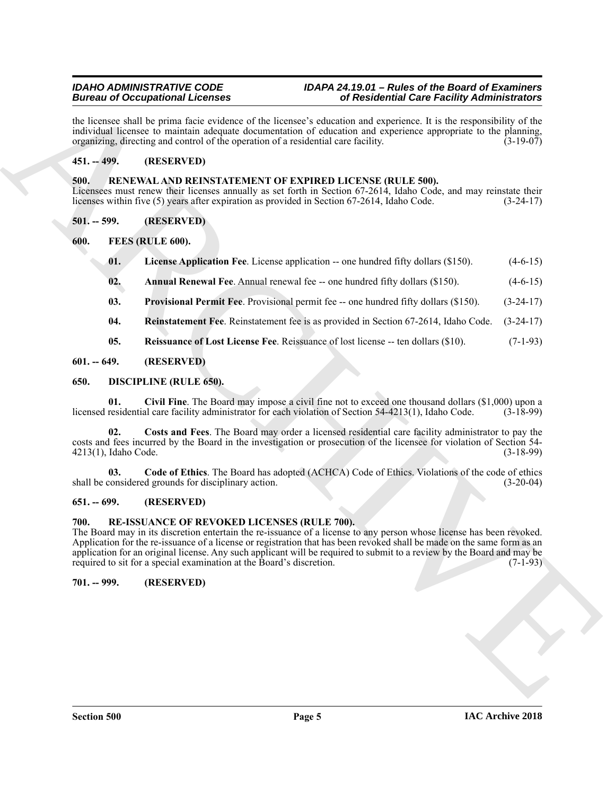# *IDAHO ADMINISTRATIVE CODE IDAPA 24.19.01 – Rules of the Board of Examiners Bureau of Occupational Licenses of Residential Care Facility Administrators*

the licensee shall be prima facie evidence of the licensee's education and experience. It is the responsibility of the individual licensee to maintain adequate documentation of education and experience appropriate to the planning, organizing, directing and control of the operation of a residential care facility.  $(3-19-07)$ 

# <span id="page-4-0"></span>**451. -- 499. (RESERVED)**

# <span id="page-4-20"></span><span id="page-4-1"></span>**500. RENEWAL AND REINSTATEMENT OF EXPIRED LICENSE (RULE 500).**

Licensees must renew their licenses annually as set forth in Section 67-2614, Idaho Code, and may reinstate their licenses within five (5) years after expiration as provided in Section 67-2614, Idaho Code. (3-24-17)

<span id="page-4-2"></span>**501. -- 599. (RESERVED)**

<span id="page-4-3"></span>**600. FEES (RULE 600).**

- <span id="page-4-15"></span><span id="page-4-13"></span>**01.** License Application Fee. License application -- one hundred fifty dollars (\$150). (4-6-15)
- <span id="page-4-14"></span>**02. Annual Renewal Fee**. Annual renewal fee -- one hundred fifty dollars (\$150). (4-6-15)
- <span id="page-4-16"></span>**03. Provisional Permit Fee**. Provisional permit fee -- one hundred fifty dollars (\$150). (3-24-17)
- <span id="page-4-18"></span><span id="page-4-17"></span>**04. Reinstatement Fee**. Reinstatement fee is as provided in Section 67-2614, Idaho Code. (3-24-17)
- <span id="page-4-10"></span><span id="page-4-9"></span>**05. Reissuance of Lost License Fee**. Reissuance of lost license -- ten dollars (\$10). (7-1-93)

# <span id="page-4-4"></span>**601. -- 649. (RESERVED)**

# <span id="page-4-5"></span>**650. DISCIPLINE (RULE 650).**

**01. Civil Fine**. The Board may impose a civil fine not to exceed one thousand dollars (\$1,000) upon a licensed residential care facility administrator for each violation of Section 54-4213(1), Idaho Code. (3-18-99)

<span id="page-4-12"></span>**02. Costs and Fees**. The Board may order a licensed residential care facility administrator to pay the costs and fees incurred by the Board in the investigation or prosecution of the licensee for violation of Section 54- 4213(1), Idaho Code. (3-18-99)

<span id="page-4-11"></span>**03.** Code of Ethics. The Board has adopted (ACHCA) Code of Ethics. Violations of the code of ethics considered grounds for disciplinary action. (3-20-04) shall be considered grounds for disciplinary action.

# <span id="page-4-6"></span>**651. -- 699. (RESERVED)**

# <span id="page-4-19"></span><span id="page-4-7"></span>**700. RE-ISSUANCE OF REVOKED LICENSES (RULE 700).**

Beaution of Concerning Licensins<br>
Inc. the mean point of the Research of the Research of the Research of the Research of the Research of the School and The Concerning Concerning (Concerning Concerning Concerning Concernin The Board may in its discretion entertain the re-issuance of a license to any person whose license has been revoked. Application for the re-issuance of a license or registration that has been revoked shall be made on the same form as an application for an original license. Any such applicant will be required to submit to a review by the Board and may be required to sit for a special examination at the Board's discretion. (7-1-93)

# <span id="page-4-8"></span>**701. -- 999. (RESERVED)**